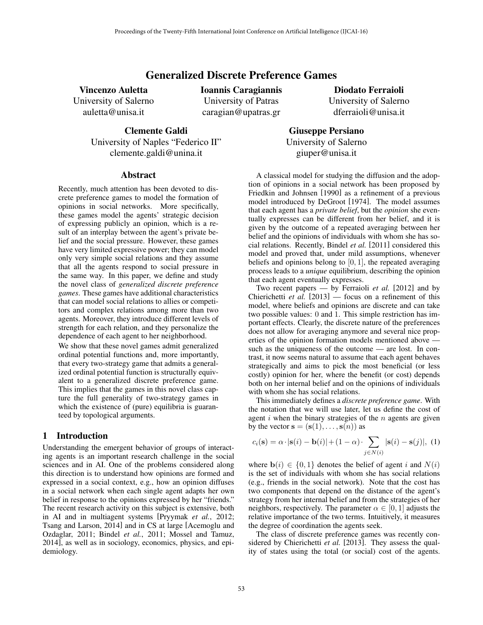# Generalized Discrete Preference Games

Vincenzo Auletta

University of Salerno auletta@unisa.it

Ioannis Caragiannis University of Patras caragian@upatras.gr

Diodato Ferraioli University of Salerno dferraioli@unisa.it

Clemente Galdi University of Naples "Federico II" clemente.galdi@unina.it

Giuseppe Persiano University of Salerno giuper@unisa.it

## **Abstract**

Recently, much attention has been devoted to discrete preference games to model the formation of opinions in social networks. More specifically, these games model the agents' strategic decision of expressing publicly an opinion, which is a result of an interplay between the agent's private belief and the social pressure. However, these games have very limited expressive power; they can model only very simple social relations and they assume that all the agents respond to social pressure in the same way. In this paper, we define and study the novel class of *generalized discrete preference games*. These games have additional characteristics that can model social relations to allies or competitors and complex relations among more than two agents. Moreover, they introduce different levels of strength for each relation, and they personalize the dependence of each agent to her neighborhood.

We show that these novel games admit generalized ordinal potential functions and, more importantly, that every two-strategy game that admits a generalized ordinal potential function is structurally equivalent to a generalized discrete preference game. This implies that the games in this novel class capture the full generality of two-strategy games in which the existence of (pure) equilibria is guaranteed by topological arguments.

### 1 Introduction

Understanding the emergent behavior of groups of interacting agents is an important research challenge in the social sciences and in AI. One of the problems considered along this direction is to understand how opinions are formed and expressed in a social context, e.g., how an opinion diffuses in a social network when each single agent adapts her own belief in response to the opinions expressed by her "friends." The recent research activity on this subject is extensive, both in AI and in multiagent systems [Pryymak *et al.*, 2012; Tsang and Larson, 2014] and in CS at large [Acemoglu and Ozdaglar, 2011; Bindel *et al.*, 2011; Mossel and Tamuz, 2014], as well as in sociology, economics, physics, and epidemiology.

A classical model for studying the diffusion and the adoption of opinions in a social network has been proposed by Friedkin and Johnsen [1990] as a refinement of a previous model introduced by DeGroot [1974]. The model assumes that each agent has a *private belief*, but the *opinion* she eventually expresses can be different from her belief, and it is given by the outcome of a repeated averaging between her belief and the opinions of individuals with whom she has social relations. Recently, Bindel *et al.* [2011] considered this model and proved that, under mild assumptions, whenever beliefs and opinions belong to [0*,* 1], the repeated averaging process leads to a *unique* equilibrium, describing the opinion that each agent eventually expresses.

Two recent papers — by Ferraioli *et al.* [2012] and by Chierichetti *et al.* [2013] — focus on a refinement of this model, where beliefs and opinions are discrete and can take two possible values: 0 and 1. This simple restriction has important effects. Clearly, the discrete nature of the preferences does not allow for averaging anymore and several nice properties of the opinion formation models mentioned above such as the uniqueness of the outcome — are lost. In contrast, it now seems natural to assume that each agent behaves strategically and aims to pick the most beneficial (or less costly) opinion for her, where the benefit (or cost) depends both on her internal belief and on the opinions of individuals with whom she has social relations.

This immediately defines a *discrete preference game*. With the notation that we will use later, let us define the cost of agent *i* when the binary strategies of the *n* agents are given by the vector  $\mathbf{s} = (\mathbf{s}(1), \dots, \mathbf{s}(n))$  as

$$
c_i(\mathbf{s}) = \alpha \cdot |\mathbf{s}(i) - \mathbf{b}(i)| + (1 - \alpha) \cdot \sum_{j \in N(i)} |\mathbf{s}(i) - \mathbf{s}(j)|, (1)
$$

where  $\mathbf{b}(i) \in \{0,1\}$  denotes the belief of agent *i* and  $N(i)$ is the set of individuals with whom she has social relations (e.g., friends in the social network). Note that the cost has two components that depend on the distance of the agent's strategy from her internal belief and from the strategies of her neighbors, respectively. The parameter  $\alpha \in [0, 1]$  adjusts the relative importance of the two terms. Intuitively, it measures the degree of coordination the agents seek.

The class of discrete preference games was recently considered by Chierichetti *et al.* [2013]. They assess the quality of states using the total (or social) cost of the agents.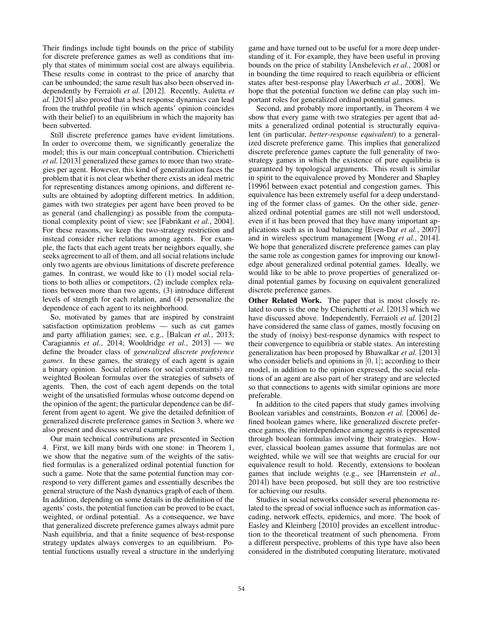Their findings include tight bounds on the price of stability for discrete preference games as well as conditions that imply that states of minimum social cost are always equilibria. These results come in contrast to the price of anarchy that can be unbounded; the same result has also been observed independently by Ferraioli *et al.* [2012]. Recently, Auletta *et al.* [2015] also proved that a best response dynamics can lead from the truthful profile (in which agents' opinion coincides with their belief) to an equilibrium in which the majority has been subverted.

Still discrete preference games have evident limitations. In order to overcome them, we significantly generalize the model; this is our main conceptual contribution. Chierichetti *et al.* [2013] generalized these games to more than two strategies per agent. However, this kind of generalization faces the problem that it is not clear whether there exists an ideal metric for representing distances among opinions, and different results are obtained by adopting different metrics. In addition, games with two strategies per agent have been proved to be as general (and challenging) as possible from the computational complexity point of view; see [Fabrikant *et al.*, 2004]. For these reasons, we keep the two-strategy restriction and instead consider richer relations among agents. For example, the facts that each agent treats her neighbors equally, she seeks agreement to all of them, and all social relations include only two agents are obvious limitations of discrete preference games. In contrast, we would like to (1) model social relations to both allies or competitors, (2) include complex relations between more than two agents, (3) introduce different levels of strength for each relation, and (4) personalize the dependence of each agent to its neighborhood.

So, motivated by games that are inspired by constraint satisfaction optimization problems — such as cut games and party affiliation games; see, e.g., [Balcan *et al.*, 2013; Caragiannis *et al.*, 2014; Wooldridge *et al.*, 2013] — we define the broader class of *generalized discrete preference games*. In these games, the strategy of each agent is again a binary opinion. Social relations (or social constraints) are weighted Boolean formulas over the strategies of subsets of agents. Then, the cost of each agent depends on the total weight of the unsatisfied formulas whose outcome depend on the opinion of the agent; the particular dependence can be different from agent to agent. We give the detailed definition of generalized discrete preference games in Section 3, where we also present and discuss several examples.

Our main technical contributions are presented in Section 4. First, we kill many birds with one stone: in Theorem 1, we show that the negative sum of the weights of the satisfied formulas is a generalized ordinal potential function for such a game. Note that the same potential function may correspond to very different games and essentially describes the general structure of the Nash dynamics graph of each of them. In addition, depending on some details in the definition of the agents' costs, the potential function can be proved to be exact, weighted, or ordinal potential. As a consequence, we have that generalized discrete preference games always admit pure Nash equilibria, and that a finite sequence of best-response strategy updates always converges to an equilibrium. Potential functions usually reveal a structure in the underlying game and have turned out to be useful for a more deep understanding of it. For example, they have been useful in proving bounds on the price of stability [Anshelevich *et al.*, 2008] or in bounding the time required to reach equilibria or efficient states after best-response play [Awerbuch *et al.*, 2008]. We hope that the potential function we define can play such important roles for generalized ordinal potential games.

Second, and probably more importantly, in Theorem 4 we show that every game with two strategies per agent that admits a generalized ordinal potential is structurally equivalent (in particular, *better-response equivalent*) to a generalized discrete preference game. This implies that generalized discrete preference games capture the full generality of twostrategy games in which the existence of pure equilibria is guaranteed by topological arguments. This result is similar in spirit to the equivalence proved by Monderer and Shapley [1996] between exact potential and congestion games. This equivalence has been extremely useful for a deep understanding of the former class of games. On the other side, generalized ordinal potential games are still not well understood, even if it has been proved that they have many important applications such as in load balancing [Even-Dar *et al.*, 2007] and in wireless spectrum management [Wong *et al.*, 2014]. We hope that generalized discrete preference games can play the same role as congestion games for improving our knowledge about generalized ordinal potential games. Ideally, we would like to be able to prove properties of generalized ordinal potential games by focusing on equivalent generalized discrete preference games.

Other Related Work. The paper that is most closely related to ours is the one by Chierichetti *et al.* [2013] which we have discussed above. Independently, Ferraioli *et al.* [2012] have considered the same class of games, mostly focusing on the study of (noisy) best-response dynamics with respect to their convergence to equilibria or stable states. An interesting generalization has been proposed by Bhawalkar *et al.* [2013] who consider beliefs and opinions in [0*,* 1]; according to their model, in addition to the opinion expressed, the social relations of an agent are also part of her strategy and are selected so that connections to agents with similar opinions are more preferable.

In addition to the cited papers that study games involving Boolean variables and constraints, Bonzon *et al.* [2006] defined boolean games where, like generalized discrete preference games, the interdependence among agents is represented through boolean formulas involving their strategies. However, classical boolean games assume that formulas are not weighted, while we will see that weights are crucial for our equivalence result to hold. Recently, extensions to boolean games that include weights (e.g., see [Harrenstein *et al.*, 2014]) have been proposed, but still they are too restrictive for achieving our results.

Studies in social networks consider several phenomena related to the spread of social influence such as information cascading, network effects, epidemics, and more. The book of Easley and Kleinberg [2010] provides an excellent introduction to the theoretical treatment of such phenomena. From a different perspective, problems of this type have also been considered in the distributed computing literature, motivated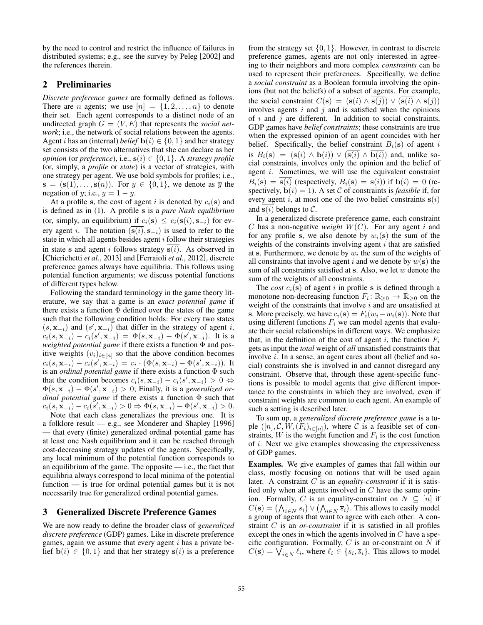by the need to control and restrict the influence of failures in distributed systems; e.g., see the survey by Peleg [2002] and the references therein.

# 2 Preliminaries

*Discrete preference games* are formally defined as follows. There are *n* agents; we use  $[n] = \{1, 2, \ldots, n\}$  to denote their set. Each agent corresponds to a distinct node of an undirected graph  $G = (V, E)$  that represents the *social network*; i.e., the network of social relations between the agents. Agent *i* has an (internal) *belief*  $\mathbf{b}(i) \in \{0, 1\}$  and her strategy set consists of the two alternatives that she can declare as her *opinion* (or *preference*), i.e.,  $s(i) \in \{0, 1\}$ . A *strategy profile* (or, simply, a *profile* or *state*) is a vector of strategies, with one strategy per agent. We use bold symbols for profiles; i.e.,  $\mathbf{s} = (\mathbf{s}(1), \dots, \mathbf{s}(n))$ . For  $y \in \{0, 1\}$ , we denote as  $\overline{y}$  the negation of *y*; i.e.,  $\overline{y} = 1 - y$ .

At a profile s, the cost of agent *i* is denoted by  $c_i(s)$  and is defined as in (1). A profile s is a *pure Nash equilibrium* (or, simply, an equilibrium) if  $c_i(s) \leq c_i(\overline{s(i)}, s_{-i})$  for every agent *i*. The notation  $(\overline{s(i)}, s_{-i})$  is used to refer to the state in which all agents besides agent *i* follow their strategies in state s and agent *i* follows strategy s(*i*). As observed in [Chierichetti *et al.*, 2013] and [Ferraioli *et al.*, 2012], discrete preference games always have equilibria. This follows using potential function arguments; we discuss potential functions of different types below.

Following the standard terminology in the game theory literature, we say that a game is an *exact potential game* if there exists a function  $\Phi$  defined over the states of the game such that the following condition holds: For every two states  $(s, \mathbf{x}_{-i})$  and  $(s', \mathbf{x}_{-i})$  that differ in the strategy of agent *i*,  $c_i(s, \mathbf{x}_{-i}) - c_i(s', \mathbf{x}_{-i}) = \Phi(s, \mathbf{x}_{-i}) - \Phi(s', \mathbf{x}_{-i}).$  It is a *weighted potential game* if there exists a function  $\Phi$  and positive weights  $(v_i)_{i \in [n]}$  so that the above condition becomes  $c_i(s, \mathbf{x}_{-i}) - c_i(s', \mathbf{x}_{-i}) = v_i \cdot (\Phi(s, \mathbf{x}_{-i}) - \Phi(s', \mathbf{x}_{-i}))$ . It is an *ordinal potential game* if there exists a function  $\Phi$  such that the condition becomes  $c_i(s, \mathbf{x}_{-i}) - c_i(s', \mathbf{x}_{-i}) > 0 \Leftrightarrow$  $\Phi(s, \mathbf{x}_{-i}) - \Phi(s', \mathbf{x}_{-i}) > 0$ ; Finally, it is a *generalized ordinal potential game* if there exists a function  $\Phi$  such that  $c_i(s, \mathbf{x}_{-i}) - c_i(s', \mathbf{x}_{-i}) > 0 \Rightarrow \Phi(s, \mathbf{x}_{-i}) - \Phi(s', \mathbf{x}_{-i}) > 0.$ 

Note that each class generalizes the previous one. It is a folklore result — e.g., see Monderer and Shapley [1996] — that every (finite) generalized ordinal potential game has at least one Nash equilibrium and it can be reached through cost-decreasing strategy updates of the agents. Specifically, any local minimum of the potential function corresponds to an equilibrium of the game. The opposite  $-$  i.e., the fact that equilibria always correspond to local minima of the potential function — is true for ordinal potential games but it is not necessarily true for generalized ordinal potential games.

### 3 Generalized Discrete Preference Games

We are now ready to define the broader class of *generalized discrete preference* (GDP) games. Like in discrete preference games, again we assume that every agent *i* has a private belief  $\mathbf{b}(i) \in \{0,1\}$  and that her strategy  $\mathbf{s}(i)$  is a preference from the strategy set *{*0*,* 1*}*. However, in contrast to discrete preference games, agents are not only interested in agreeing to their neighbors and more complex *constraints* can be used to represent their preferences. Specifically, we define a *social constraint* as a Boolean formula involving the opinions (but not the beliefs) of a subset of agents. For example, the social constraint  $C(s)=(s(i) \wedge s(j)) \vee (s(i) \wedge s(j))$ involves agents *i* and *j* and is satisfied when the opinions of *i* and *j* are different. In addition to social constraints, GDP games have *belief constraints*; these constraints are true when the expressed opinion of an agent coincides with her belief. Specifically, the belief constraint  $B_i(\mathbf{s})$  of agent *i* is  $B_i(\mathbf{s}) = (\mathbf{s}(i) \wedge \mathbf{b}(i)) \vee (\mathbf{s}(i) \wedge \mathbf{b}(i))$  and, unlike social constraints, involves only the opinion and the belief of agent *i*. Sometimes, we will use the equivalent constraint  $B_i(\mathbf{s}) = \mathbf{s}(i)$  (respectively,  $B_i(\mathbf{s}) = \mathbf{s}(i)$ ) if  $\mathbf{b}(i) = 0$  (respectively,  $\mathbf{b}(i)=1$ ). A set *C* of constraints is *feasible* if, for every agent  $i$ , at most one of the two belief constraints  $s(i)$ and  $s(i)$  belongs to  $C$ .

In a generalized discrete preference game, each constraint *C* has a non-negative *weight W*(*C*). For any agent *i* and for any profile s, we also denote by  $w_i(s)$  the sum of the weights of the constraints involving agent *i* that are satisfied at s. Furthermore, we denote by  $w_i$  the sum of the weights of all constraints that involve agent *i* and we denote by *w*(s) the sum of all constraints satisfied at s. Also, we let *w* denote the sum of the weights of all constraints.

The *cost*  $c_i$ (s) of agent *i* in profile s is defined through a monotone non-decreasing function  $F_i: \mathbb{R}_{\geq 0} \to \mathbb{R}_{\geq 0}$  on the weight of the constraints that involve *i* and are unsatisfied at s. More precisely, we have  $c_i(s) = F_i(w_i - w_i(s))$ . Note that using different functions  $F_i$  we can model agents that evaluate their social relationships in different ways. We emphasize that, in the definition of the cost of agent *i*, the function  $F_i$ gets as input the *total* weight of *all* unsatisfied constraints that involve *i*. In a sense, an agent cares about all (belief and social) constraints she is involved in and cannot disregard any constraint. Observe that, through these agent-specific functions is possible to model agents that give different importance to the constraints in which they are involved, even if constraint weights are common to each agent. An example of such a setting is described later.

To sum up, a *generalized discrete preference game* is a tuple  $([n], \mathcal{C}, W, (F_i)_{i \in [n]})$ , where  $\mathcal C$  is a feasible set of constraints, *W* is the weight function and  $F_i$  is the cost function of *i*. Next we give examples showcasing the expressiveness of GDP games.

Examples. We give examples of games that fall within our class, mostly focusing on notions that will be used again later. A constraint *C* is an *equality-constraint* if it is satisfied only when all agents involved in *C* have the same opinion. Formally, *C* is an equality-constraint on  $N \subseteq [n]$  if  $C(\mathbf{s}) = \left(\bigwedge_{i \in N} s_i\right) \vee \left(\bigwedge_{i \in N} \overline{s}_i\right)$ . This allows to easily model a group of agents that want to agree with each other. A constraint *C* is an *or-constraint* if it is satisfied in all profiles except the ones in which the agents involved in *C* have a specific configuration. Formally, *C* is an or-constraint on *N* if  $C(\mathbf{s}) = \overline{\bigvee_{i \in N} \ell_i}$ , where  $\ell_i \in \{s_i, \overline{s}_i\}$ . This allows to model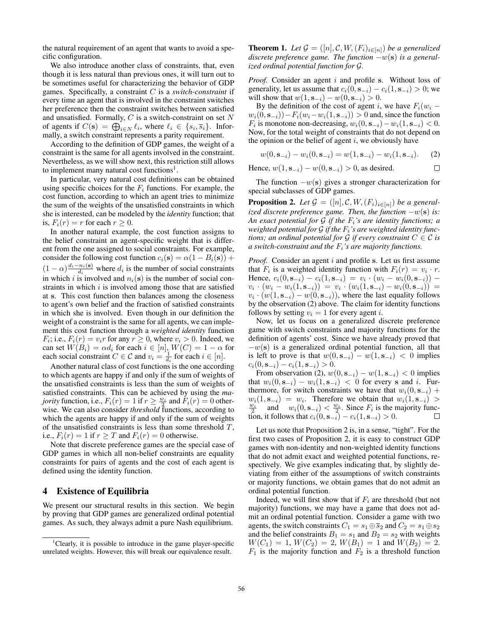the natural requirement of an agent that wants to avoid a specific configuration.

We also introduce another class of constraints, that, even though it is less natural than previous ones, it will turn out to be sometimes useful for characterizing the behavior of GDP games. Specifically, a constraint *C* is a *switch-constraint* if every time an agent that is involved in the constraint switches her preference then the constraint switches between satisfied and unsatisfied. Formally, *C* is a switch-constraint on set *N* of agents if  $C(\mathbf{s}) = \bigoplus_{i \in N} \ell_i$ , where  $\ell_i \in \{s_i, \overline{s}_i\}$ . Informally, a switch constraint represents a parity requirement.

According to the definition of GDP games, the weight of a constraint is the same for all agents involved in the constraint. Nevertheless, as we will show next, this restriction still allows to implement many natural cost functions<sup>1</sup>.

In particular, very natural cost definitions can be obtained using specific choices for the  $F_i$  functions. For example, the cost function, according to which an agent tries to minimize the sum of the weights of the unsatisfied constraints in which she is interested, can be modeled by the *identity* function; that is,  $F_i(r) = r$  for each  $r \geq 0$ .

In another natural example, the cost function assigns to the belief constraint an agent-specific weight that is different from the one assigned to social constraints. For example, consider the following cost function  $c_i(\mathbf{s}) = \alpha(1 - B_i(\mathbf{s}))$  +  $(1 - \alpha) \frac{d_i - n_i(\mathbf{s})}{d_i}$  where  $d_i$  is the number of social constraints in which *i* is involved and  $n_i(s)$  is the number of social constraints in which *i* is involved among those that are satisfied at s. This cost function then balances among the closeness to agent's own belief and the fraction of satisfied constraints in which she is involved. Even though in our definition the weight of a constraint is the same for all agents, we can implement this cost function through a *weighted identity* function *F*<sub>i</sub>; i.e.,  $F_i(r) = v_i r$  for any  $r \geq 0$ , where  $v_i > 0$ . Indeed, we can set  $W(B_i) = \alpha d_i$  for each  $i \in [n]$ ,  $W(C) = 1 - \alpha$  for each social constraint  $C \in \mathcal{C}$  and  $v_i = \frac{1}{d_i}$  for each  $i \in [n]$ .

Another natural class of cost functions is the one according to which agents are happy if and only if the sum of weights of the unsatisfied constraints is less than the sum of weights of satisfied constraints. This can be achieved by using the *majority* function, i.e.,  $F_i(r) = 1$  if  $r \ge \frac{w_i}{r_i^2}$  and  $F_i(r) = 0$  otherwise. We can also consider *threshold* functions, according to which the agents are happy if and only if the sum of weights of the unsatisfied constraints is less than some threshold *T*, i.e.,  $F_i(r) = 1$  if  $r \geq T$  and  $F_i(r) = 0$  otherwise.

Note that discrete preference games are the special case of GDP games in which all non-belief constraints are equality constraints for pairs of agents and the cost of each agent is defined using the identity function.

### 4 Existence of Equilibria

We present our structural results in this section. We begin by proving that GDP games are generalized ordinal potential games. As such, they always admit a pure Nash equilibrium.

**Theorem 1.** Let  $\mathcal{G} = ([n], \mathcal{C}, W, (F_i)_{i \in [n]})$  be a generalized discrete preference game. The function  $-w(s)$  is a general*ized ordinal potential function for G.*

*Proof.* Consider an agent *i* and profile s. Without loss of generality, let us assume that  $c_i(0, \mathbf{s}_{-i}) - c_i(1, \mathbf{s}_{-i}) > 0$ ; we will show that  $w(1, s_{-i}) - w(0, s_{-i}) > 0$ .

By the definition of the cost of agent *i*, we have  $F_i(w_i$  $w_i(0, s_{-i})$  –  $F_i(w_i - w_i(1, s_{-i})) > 0$  and, since the function *F*<sub>*i*</sub> is monotone non-decreasing,  $w_i(0, s_{-i}) - w_i(1, s_{-i}) < 0$ . Now, for the total weight of constraints that do not depend on the opinion or the belief of agent *i*, we obviously have

$$
w(0, \mathbf{s}_{-i}) - w_i(0, \mathbf{s}_{-i}) = w(1, \mathbf{s}_{-i}) - w_i(1, \mathbf{s}_{-i}).
$$
 (2)

Hence,  $w(1, s_{-i}) - w(0, s_{-i}) > 0$ , as desired.  $\Box$ 

The function  $-w(s)$  gives a stronger characterization for special subclasses of GDP games.

**Proposition 2.** Let  $\mathcal{G} = ([n], \mathcal{C}, W, (F_i)_{i \in [n]})$  be a general*ized discrete preference game. Then, the function w*(s) *is: An exact potential for G if the Fi's are identity functions; a weighted potential for G if the Fi's are weighted identity functions; an ordinal potential for G if every constraint*  $C \in \mathcal{C}$  *is a switch-constraint and the Fi's are majority functions.*

*Proof.* Consider an agent *i* and profile s. Let us first assume that  $F_i$  is a weighted identity function with  $F_i(r) = v_i \cdot r$ . Hence,  $c_i(0, s_{-i}) - c_i(1, s_{-i}) = v_i \cdot (w_i - w_i(0, s_{-i}))$  $v_i \cdot (w_i - w_i(1, \mathbf{s}_{-i})) = v_i \cdot (w_i(1, \mathbf{s}_{-i}) - w_i(0, \mathbf{s}_{-i})) =$  $v_i \cdot (w(1, \mathbf{s}_{-i}) - w(0, \mathbf{s}_{-i}))$ , where the last equality follows by the observation (2) above. The claim for identity functions follows by setting  $v_i = 1$  for every agent *i*.

Now, let us focus on a generalized discrete preference game with switch constraints and majority functions for the definition of agents' cost. Since we have already proved that  $-w(s)$  is a generalized ordinal potential function, all that is left to prove is that  $w(0, s_{-i}) - w(1, s_{-i}) < 0$  implies  $c_i(0, \mathbf{s}_{-i}) - c_i(1, \mathbf{s}_{-i}) > 0.$ 

From observation (2),  $w(0, \mathbf{s}_{-i}) - w(1, \mathbf{s}_{-i}) < 0$  implies that  $w_i(0, s_{-i}) - w_i(1, s_{-i}) < 0$  for every s and *i*. Furthermore, for switch constraints we have that  $w_i(0, s_{-i})$  +  $w_i(1, s_{-i}) = w_i$ . Therefore we obtain that  $w_i(1, s_{-i})$  $\frac{w_i}{2}$  and  $w_i(0, s_{-i}) < \frac{w_i}{2}$ . Since  $F_i$  is the majority function, it follows that  $c_i(0, s_{-i}) - c_i(1, s_{-i}) > 0$ .

Let us note that Proposition 2 is, in a sense, "tight". For the first two cases of Proposition 2, it is easy to construct GDP games with non-identity and non-weighted identity functions that do not admit exact and weighted potential functions, respectively. We give examples indicating that, by slightly deviating from either of the assumptions of switch constraints or majority functions, we obtain games that do not admit an ordinal potential function.

Indeed, we will first show that if  $F_i$  are threshold (but not majority) functions, we may have a game that does not admit an ordinal potential function. Consider a game with two agents, the switch constraints  $C_1 = s_1 \oplus \overline{s}_2$  and  $C_2 = s_1 \oplus s_2$ and the belief constraints  $B_1 = s_1$  and  $B_2 = s_2$  with weights  $W(C_1)=1, W(C_2)=2, W(B_1)=1$  and  $W(B_2)=2$ .  $F_1$  is the majority function and  $F_2$  is a threshold function

<sup>&</sup>lt;sup>1</sup>Clearly, it is possible to introduce in the game player-specific unrelated weights. However, this will break our equivalence result.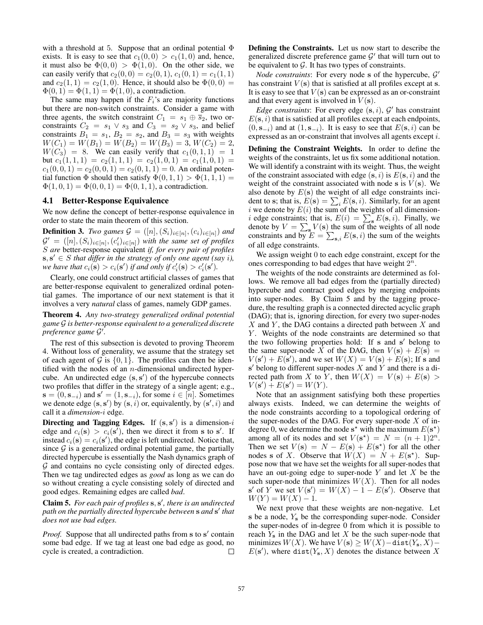with a threshold at 5. Suppose that an ordinal potential  $\Phi$ exists. It is easy to see that  $c_1(0,0) > c_1(1,0)$  and, hence, it must also be  $\Phi(0,0) > \Phi(1,0)$ . On the other side, we can easily verify that  $c_2(0,0) = c_2(0,1), c_1(0,1) = c_1(1,1)$ and  $c_2(1, 1) = c_2(1, 0)$ . Hence, it should also be  $\Phi(0, 0) =$  $\Phi(0, 1) = \Phi(1, 1) = \Phi(1, 0)$ , a contradiction.

The same may happen if the *Fi*'s are majority functions but there are non-switch constraints. Consider a game with three agents, the switch constraint  $C_1 = s_1 \oplus \overline{s}_2$ , two orconstraints  $C_2 = s_1 \vee s_3$  and  $C_3 = s_2 \vee s_3$ , and belief constraints  $B_1 = s_1$ ,  $B_2 = s_2$ , and  $B_3 = s_3$  with weights  $W(C_1) = W(B_1) = W(B_2) = W(B_3) = 3, W(C_2) = 2,$  $W(C_3) = 8$ . We can easily verify that  $c_1(0, 1, 1) = 1$ but  $c_1(1,1,1) = c_2(1,1,1) = c_2(1,0,1) = c_1(1,0,1) =$  $c_1(0,0,1) = c_2(0,0,1) = c_2(0,1,1) = 0$ . An ordinal potential function  $\Phi$  should then satisfy  $\Phi(0,1,1) > \Phi(1,1,1) =$  $\Phi(1,0,1) = \Phi(0,0,1) = \Phi(0,1,1)$ , a contradiction.

#### 4.1 Better-Response Equivalence

We now define the concept of better-response equivalence in order to state the main theorem of this section.

**Definition 3.** *Two games*  $G = ([n], (S_i)_{i \in [n]}, (c_i)_{i \in [n]})$  *and*  $\mathcal{G}' = ([n], (S_i)_{i \in [n]}, (c'_i)_{i \in [n]})$  with the same set of profiles *S are* better-response equivalent *if, for every pair of profiles*  $s, s' \in S$  *that differ in the strategy of only one agent (say <i>i*), *we have that*  $c_i(\mathbf{s}) > c_i(\mathbf{s}')$  *if and only if*  $c'_i(\mathbf{s}) > c'_i(\mathbf{s}')$ *.* 

Clearly, one could construct artificial classes of games that are better-response equivalent to generalized ordinal potential games. The importance of our next statement is that it involves a very *natural* class of games, namely GDP games.

Theorem 4. *Any two-strategy generalized ordinal potential game G is better-response equivalent to a generalized discrete preference game*  $\mathcal{G}'$ .

The rest of this subsection is devoted to proving Theorem 4. Without loss of generality, we assume that the strategy set of each agent of  $G$  is  $\{0, 1\}$ . The profiles can then be identified with the nodes of an *n*-dimensional undirected hypercube. An undirected edge  $(s, s')$  of the hypercube connects two profiles that differ in the strategy of a single agent; e.g.,  $\mathbf{s} = (0, \mathbf{s}_{-i})$  and  $\mathbf{s}' = (1, \mathbf{s}_{-i})$ , for some  $i \in [n]$ . Sometimes we denote edge  $({\bf s},{\bf s}')$  by  $({\bf s},i)$  or, equivalently, by  $({\bf s}',i)$  and call it a *dimension*-*i* edge.

**Directing and Tagging Edges.** If  $(s, s')$  is a dimension-*i* edge and  $c_i(s) > c_i(s')$ , then we direct it from s to s'. If instead  $c_i(\mathbf{s}) = c_i(\mathbf{s}')$ , the edge is left undirected. Notice that, since  $G$  is a generalized ordinal potential game, the partially directed hypercube is essentially the Nash dynamics graph of *G* and contains no cycle consisting only of directed edges. Then we tag undirected edges as *good* as long as we can do so without creating a cycle consisting solely of directed and good edges. Remaining edges are called *bad*.

**Claim 5.** For each pair of profiles  $s, s'$ , there is an undirected *path on the partially directed hypercube between* s *and* s' *that does not use bad edges.*

*Proof.* Suppose that all undirected paths from s to s' contain some bad edge. If we tag at least one bad edge as good, no cycle is created, a contradiction.  $\Box$  Defining the Constraints. Let us now start to describe the generalized discrete preference game  $G'$  that will turn out to be equivalent to *G*. It has two types of constraints.

*Node constraints*: For every node s of the hypercube,  $\mathcal{G}'$ has constraint  $V(s)$  that is satisfied at all profiles except at s. It is easy to see that  $V(s)$  can be expressed as an or-constraint and that every agent is involved in  $V(\mathbf{s})$ .

*Edge constraints*: For every edge  $(s, i)$ ,  $\mathcal{G}'$  has constraint  $E(\mathbf{s}, i)$  that is satisfied at all profiles except at each endpoints,  $(0, \mathbf{s}_{-i})$  and at  $(1, \mathbf{s}_{-i})$ . It is easy to see that  $E(\mathbf{s}, i)$  can be expressed as an or-constraint that involves all agents except *i*.

Defining the Constraint Weights. In order to define the weights of the constraints, let us fix some additional notation. We will identify a constraint with its weight. Thus, the weight of the constraint associated with edge  $(s, i)$  is  $E(s, i)$  and the weight of the constraint associated with node s is  $V(\mathbf{s})$ . We also denote by  $E(s)$  the weight of all edge constraints incident to s; that is,  $E(\mathbf{s}) = \sum_{i} E(\mathbf{s}, i)$ . Similarly, for an agent *i* we denote by  $E(i)$  the sum of the weights of all dimension*i* edge constraints; that is,  $E(i) = \sum_{s} E(s, i)$ . Finally, we denote by  $V = \sum_{s} V(s)$  the sum of the weights of all node constraints and by  $E = \sum_{s,i} E(s,i)$  the sum of the weights of all edge constraints.

We assign weight 0 to each edge constraint, except for the ones corresponding to bad edges that have weight 2*<sup>n</sup>*.

The weights of the node constraints are determined as follows. We remove all bad edges from the (partially directed) hypercube and contract good edges by merging endpoints into super-nodes. By Claim 5 and by the tagging procedure, the resulting graph is a connected directed acyclic graph (DAG); that is, ignoring direction, for every two super-nodes *X* and *Y* , the DAG contains a directed path between *X* and *Y* . Weights of the node constraints are determined so that the two following properties hold: If  $s$  and  $s'$  belong to the same super-node *X* of the DAG, then  $V(s) + E(s) =$  $V(\mathbf{s}') + E(\mathbf{s}')$ , and we set  $W(X) = V(\mathbf{s}) + E(\mathbf{s})$ ; If s and  $s'$  belong to different super-nodes  $X$  and  $Y$  and there is a directed path from *X* to *Y*, then  $W(X) = V(s) + E(s)$  $V(s') + E(s') = W(Y).$ 

Note that an assignment satisfying both these properties always exists. Indeed, we can determine the weights of the node constraints according to a topological ordering of the super-nodes of the DAG. For every super-node *X* of indegree 0, we determine the node  $s^*$  with the maximum  $E(s^*)$ among all of its nodes and set  $V(s^*) = N = (n + 1)2^n$ . Then we set  $V(s) = N - E(s) + E(s^*)$  for all the other nodes s of *X*. Observe that  $W(X) = N + E(s^*)$ . Suppose now that we have set the weights for all super-nodes that have an out-going edge to super-node *Y* and let *X* be the such super-node that minimizes  $W(X)$ . Then for all nodes  $\mathbf{s}'$  of *Y* we set  $V(\mathbf{s}') = W(X) - 1 - E(\mathbf{s}')$ . Observe that  $W(Y) = W(X) - 1.$ 

We next prove that these weights are non-negative. Let s be a node, *Y*<sup>s</sup> be the corresponding super-node. Consider the super-nodes of in-degree 0 from which it is possible to reach  $Y_s$  in the DAG and let  $X$  be the such super-node that minimizes  $W(X)$ . We have  $V(s) \geq W(X) - \text{dist}(Y_s, X) E(\mathbf{s}')$ , where dist( $Y_s$ , X) denotes the distance between X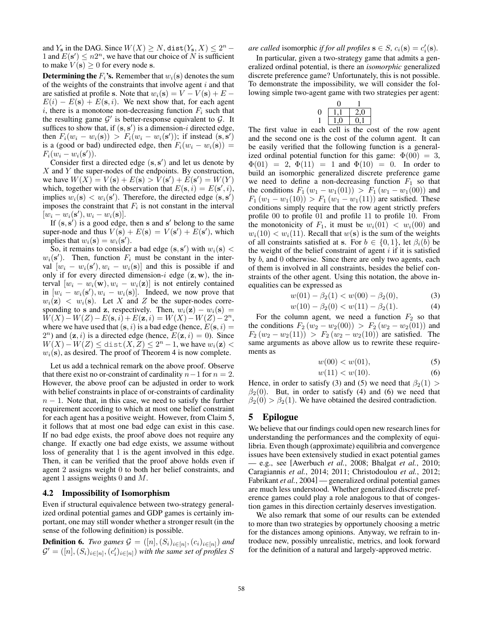and  $Y_s$  in the DAG. Since  $W(X) \ge N$ , dist $(Y_s, X) \le 2^n$ 1 and  $E(s') \leq n2^n$ , we have that our choice of *N* is sufficient to make  $V(\mathbf{s}) \geq 0$  for every node s.

**Determining the**  $F_i$ **'s.** Remember that  $w_i(s)$  denotes the sum of the weights of the constraints that involve agent *i* and that are satisfied at profile s. Note that  $w_i(\mathbf{s}) = V - V(\mathbf{s}) + E$  $E(i) - E(s) + E(s, i)$ . We next show that, for each agent  $i$ , there is a monotone non-decreasing function  $F_i$  such that the resulting game  $G'$  is better-response equivalent to  $G$ . It suffices to show that, if  $(s, s')$  is a dimension-*i* directed edge, then  $F_i(w_i - w_i(\mathbf{s})) > F_i(w_i - w_i(\mathbf{s}'))$ ; if instead  $(\mathbf{s}, \mathbf{s}')$ is a (good or bad) undirected edge, then  $F_i(w_i - w_i(\mathbf{s})) =$  $F_i(w_i - w_i(\mathbf{s}'))$ .

Consider first a directed edge  $(s, s')$  and let us denote by *X* and *Y* the super-nodes of the endpoints. By construction,  $w$ e have  $W(X) = V(s) + E(s) > V(s') + E(s') = W(Y)$ which, together with the observation that  $E(\mathbf{s}, i) = E(\mathbf{s}', i)$ , implies  $w_i(\mathbf{s}) < w_i(\mathbf{s}')$ . Therefore, the directed edge  $(\mathbf{s}, \mathbf{s}')$ imposes the constraint that  $F_i$  is not constant in the interval  $[w_i - w_i(\mathbf{s}'), w_i - w_i(\mathbf{s})].$ 

If  $(s, s')$  is a good edge, then s and s' belong to the same super-node and thus  $V(s) + E(s) = V(s') + E(s')$ , which implies that  $w_i(\mathbf{s}) = w_i(\mathbf{s}')$ .

So, it remains to consider a bad edge  $({\bf s},{\bf s}')$  with  $w_i({\bf s})$  <  $w_i(\mathbf{s}')$ . Then, function  $F_i$  must be constant in the interval  $[w_i - w_i(\mathbf{s}'), w_i - w_i(\mathbf{s})]$  and this is possible if and only if for every directed dimension- $i$  edge  $(\mathbf{z}, \mathbf{w})$ , the interval  $[w_i - w_i(\mathbf{w}), w_i - w_i(\mathbf{z})]$  is not entirely contained in  $[w_i - w_i(\mathbf{s}'), w_i - w_i(\mathbf{s})]$ . Indeed, we now prove that  $w_i(z)$  *< w<sub>i</sub>*(s). Let *X* and *Z* be the super-nodes corresponding to s and z, respectively. Then,  $w_i(\mathbf{z}) - w_i(\mathbf{s}) =$  $W(X) - W(Z) - E(s, i) + E(z, i) = W(X) - W(Z) - 2^n$ where we have used that  $(s, i)$  is a bad edge (hence,  $E(s, i)$  =  $2<sup>n</sup>$ ) and  $(z, i)$  is a directed edge (hence,  $E(z, i) = 0$ ). Since  $W(X) - W(Z) \le \text{dist}(X, Z) \le 2^n - 1$ , we have  $w_i(\mathbf{z}) <$  $w_i(\mathbf{s})$ , as desired. The proof of Theorem 4 is now complete.

Let us add a technical remark on the above proof. Observe that there exist no or-constraint of cardinality  $n-1$  for  $n=2$ . However, the above proof can be adjusted in order to work with belief constraints in place of or-constraints of cardinality  $n - 1$ . Note that, in this case, we need to satisfy the further requirement according to which at most one belief constraint for each agent has a positive weight. However, from Claim 5, it follows that at most one bad edge can exist in this case. If no bad edge exists, the proof above does not require any change. If exactly one bad edge exists, we assume without loss of generality that 1 is the agent involved in this edge. Then, it can be verified that the proof above holds even if agent 2 assigns weight 0 to both her belief constraints, and agent 1 assigns weights 0 and *M*.

#### 4.2 Impossibility of Isomorphism

Even if structural equivalence between two-strategy generalized ordinal potential games and GDP games is certainly important, one may still wonder whether a stronger result (in the sense of the following definition) is possible.

**Definition 6.** *Two games*  $G = ([n], (S_i)_{i \in [n]}, (c_i)_{i \in [n]})$  *and*  $\mathcal{G}' = ([n], (S_i)_{i \in [n]}, (c'_i)_{i \in [n]})$  with the same set of profiles  $S$ 

# *are called* isomorphic *if for all profiles*  $\mathbf{s} \in S$ *, c<sub>i</sub>*( $\mathbf{s}$ ) = *c*<sup>*i*</sup>( $\mathbf{s}$ ).

In particular, given a two-strategy game that admits a generalized ordinal potential, is there an *isomorphic* generalized discrete preference game? Unfortunately, this is not possible. To demonstrate the impossibility, we will consider the following simple two-agent game with two strategies per agent:

$$
\begin{array}{c|cc}\n & 0 & 1 \\
0 & 1,1 & 2,0 \\
1 & 1,0 & 0,1\n\end{array}
$$

The first value in each cell is the cost of the row agent and the second one is the cost of the column agent. It can be easily verified that the following function is a generalized ordinal potential function for this game:  $\Phi(00) = 3$ ,  $\Phi(01) = 2$ ,  $\Phi(11) = 1$  and  $\Phi(10) = 0$ . In order to build an isomorphic generalized discrete preference game we need to define a non-decreasing function  $F_1$  so that the conditions  $F_1(w_1 - w_1(01)) > F_1(w_1 - w_1(00))$  and  $F_1(w_1 - w_1(10)) > F_1(w_1 - w_1(11))$  are satisfied. These conditions simply require that the row agent strictly prefers profile 00 to profile 01 and profile 11 to profile 10. From the monotonicity of  $F_1$ , it must be  $w_i(01) < w_i(00)$  and  $w_i(10) < w_i(11)$ . Recall that  $w(s)$  is the sum of the weights of all constraints satisfied at s. For  $b \in \{0, 1\}$ , let  $\beta_i(b)$  be the weight of the belief constraint of agent *i* if it is satisfied by *b*, and 0 otherwise. Since there are only two agents, each of them is involved in all constraints, besides the belief constraints of the other agent. Using this notation, the above inequalities can be expressed as

$$
w(01) - \beta_2(1) < w(00) - \beta_2(0),\tag{3}
$$

$$
w(10) - \beta_2(0) < w(11) - \beta_2(1). \tag{4}
$$

For the column agent, we need a function  $F_2$  so that the conditions  $F_2(w_2 - w_2(00)) > F_2(w_2 - w_2(01))$  and  $F_2(w_2 - w_2(11)) > F_2(w_2 - w_2(10))$  are satisfied. The same arguments as above allow us to rewrite these requirements as

$$
w(00) < w(01), \tag{5}
$$

$$
w(11) < w(10). \tag{6}
$$

Hence, in order to satisfy (3) and (5) we need that  $\beta_2(1)$  >  $\beta_2(0)$ . But, in order to satisfy (4) and (6) we need that  $\beta_2(0) > \beta_2(1)$ . We have obtained the desired contradiction.

### 5 Epilogue

We believe that our findings could open new research lines for understanding the performances and the complexity of equilibria. Even though (approximate) equilibria and convergence issues have been extensively studied in exact potential games — e.g., see [Awerbuch *et al.*, 2008; Bhalgat *et al.*, 2010; Caragiannis *et al.*, 2014; 2011; Christodoulou *et al.*, 2012; Fabrikant *et al.*, 2004] — generalized ordinal potential games are much less understood. Whether generalized discrete preference games could play a role analogous to that of congestion games in this direction certainly deserves investigation.

We also remark that some of our results can be extended to more than two strategies by opportunely choosing a metric for the distances among opinions. Anyway, we refrain to introduce new, possibly unrealistic, metrics, and look forward for the definition of a natural and largely-approved metric.